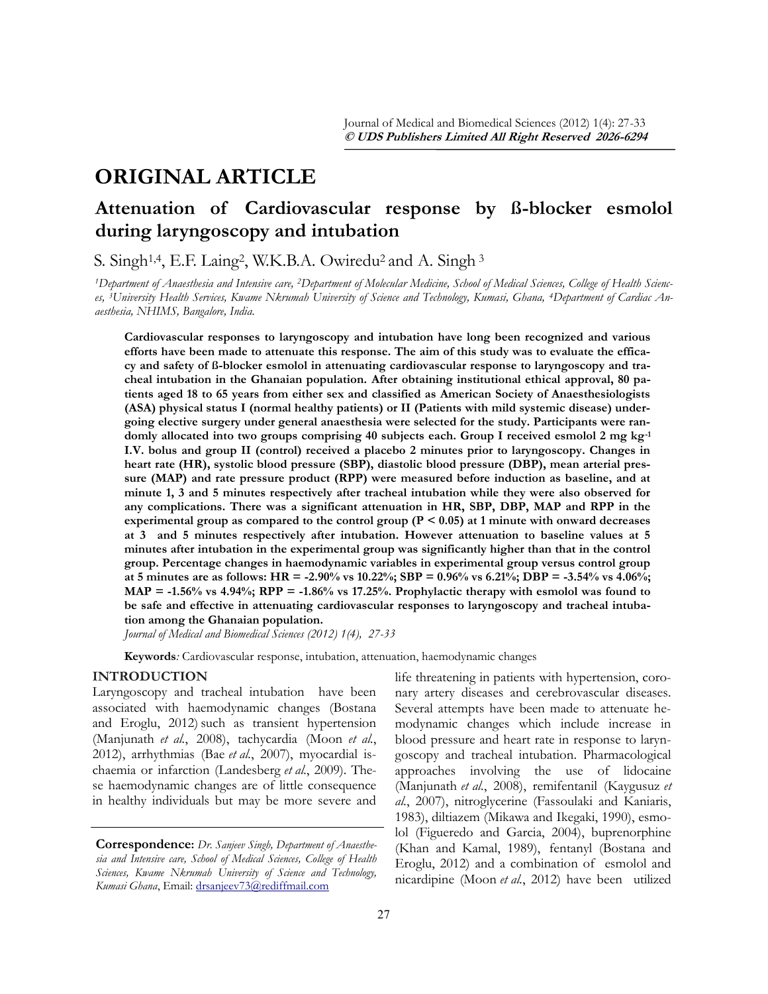# **ORIGINAL ARTICLE**

## **Attenuation of Cardiovascular response by ß-blocker esmolol during laryngoscopy and intubation**

S. Singh<sup>1,4</sup>, E.F. Laing<sup>2</sup>, W.K.B.A. Owiredu<sup>2</sup> and A. Singh<sup>3</sup>

*1Department of Anaesthesia and Intensive care, 2Department of Molecular Medicine, School of Medical Sciences, College of Health Sciences, 3University Health Services, Kwame Nkrumah University of Science and Technology, Kumasi, Ghana, 4Department of Cardiac Anaesthesia, NHIMS, Bangalore, India.*

**Cardiovascular responses to laryngoscopy and intubation have long been recognized and various efforts have been made to attenuate this response. The aim of this study was to evaluate the efficacy and safety of ß-blocker esmolol in attenuating cardiovascular response to laryngoscopy and tracheal intubation in the Ghanaian population. After obtaining institutional ethical approval, 80 patients aged 18 to 65 years from either sex and classified as American Society of Anaesthesiologists (ASA) physical status I (normal healthy patients) or II (Patients with mild systemic disease) undergoing elective surgery under general anaesthesia were selected for the study. Participants were randomly allocated into two groups comprising 40 subjects each. Group I received esmolol 2 mg kg-1 I.V. bolus and group II (control) received a placebo 2 minutes prior to laryngoscopy. Changes in heart rate (HR), systolic blood pressure (SBP), diastolic blood pressure (DBP), mean arterial pressure (MAP) and rate pressure product (RPP) were measured before induction as baseline, and at minute 1, 3 and 5 minutes respectively after tracheal intubation while they were also observed for any complications. There was a significant attenuation in HR, SBP, DBP, MAP and RPP in the experimental group as compared to the control group (P < 0.05) at 1 minute with onward decreases at 3 and 5 minutes respectively after intubation. However attenuation to baseline values at 5 minutes after intubation in the experimental group was significantly higher than that in the control group. Percentage changes in haemodynamic variables in experimental group versus control group at 5 minutes are as follows: HR = -2.90% vs 10.22%; SBP = 0.96% vs 6.21%; DBP = -3.54% vs 4.06%;**   $MAP = -1.56\%$  vs  $4.94\%$ ;  $RPP = -1.86\%$  vs  $17.25\%$ . Prophylactic therapy with esmolol was found to **be safe and effective in attenuating cardiovascular responses to laryngoscopy and tracheal intubation among the Ghanaian population.**

*Journal of Medical and Biomedical Sciences (2012) 1(4), 27-33*

**Keywords***:* Cardiovascular response, intubation, attenuation, haemodynamic changes

## **INTRODUCTION**

Laryngoscopy and tracheal intubation have been associated with haemodynamic changes ([Bostana](file:///C:/Users/Dr.%20Amidu/Desktop/galley/DOCTOR1.docx#_ENREF_4#_ENREF_4)  [and Eroglu, 2012\)](file:///C:/Users/Dr.%20Amidu/Desktop/galley/DOCTOR1.docx#_ENREF_4#_ENREF_4) such as transient hypertension ([Manjunath](file:///C:/Users/Dr.%20Amidu/Desktop/galley/DOCTOR1.docx#_ENREF_20#_ENREF_20) *et al.*, 2008), tachycardia [\(Moon](file:///C:/Users/Dr.%20Amidu/Desktop/galley/DOCTOR1.docx#_ENREF_24#_ENREF_24) *et al.*, [2012\),](file:///C:/Users/Dr.%20Amidu/Desktop/galley/DOCTOR1.docx#_ENREF_24#_ENREF_24) arrhythmias (Bae *et al.*[, 2007\)](file:///C:/Users/Dr.%20Amidu/Desktop/galley/DOCTOR1.docx#_ENREF_1#_ENREF_1), myocardial ischaemia or infarction [\(Landesberg](file:///C:/Users/Dr.%20Amidu/Desktop/galley/DOCTOR1.docx#_ENREF_19#_ENREF_19) *et al.*, 2009). These haemodynamic changes are of little consequence in healthy individuals but may be more severe and

life threatening in patients with hypertension, coronary artery diseases and cerebrovascular diseases. Several attempts have been made to attenuate hemodynamic changes which include increase in blood pressure and heart rate in response to laryngoscopy and tracheal intubation. Pharmacological approaches involving the use of lidocaine [\(Manjunath](file:///C:/Users/Dr.%20Amidu/Desktop/galley/DOCTOR1.docx#_ENREF_20#_ENREF_20) *et al.*, 2008), remifentanil ([Kaygusuz](file:///C:/Users/Dr.%20Amidu/Desktop/galley/DOCTOR1.docx#_ENREF_14#_ENREF_14) *et al.*[, 2007\)](file:///C:/Users/Dr.%20Amidu/Desktop/galley/DOCTOR1.docx#_ENREF_14#_ENREF_14), nitroglycerine [\(Fassoulaki and Kaniaris,](file:///C:/Users/Dr.%20Amidu/Desktop/galley/DOCTOR1.docx#_ENREF_7#_ENREF_7)  [1983\),](file:///C:/Users/Dr.%20Amidu/Desktop/galley/DOCTOR1.docx#_ENREF_7#_ENREF_7) diltiazem [\(Mikawa and Ikegaki, 1990\),](file:///C:/Users/Dr.%20Amidu/Desktop/galley/DOCTOR1.docx#_ENREF_23#_ENREF_23) esmolol ([Figueredo and Garcia, 2004\),](file:///C:/Users/Dr.%20Amidu/Desktop/galley/DOCTOR1.docx#_ENREF_8#_ENREF_8) buprenorphine [\(Khan and Kamal, 1989\),](file:///C:/Users/Dr.%20Amidu/Desktop/galley/DOCTOR1.docx#_ENREF_15#_ENREF_15) fentanyl ([Bostana and](file:///C:/Users/Dr.%20Amidu/Desktop/galley/DOCTOR1.docx#_ENREF_4#_ENREF_4)  [Eroglu, 2012\)](file:///C:/Users/Dr.%20Amidu/Desktop/galley/DOCTOR1.docx#_ENREF_4#_ENREF_4) and a combination of esmolol and nicardipine (Moon *et al.*[, 2012\)](file:///C:/Users/Dr.%20Amidu/Desktop/galley/DOCTOR1.docx#_ENREF_24#_ENREF_24) have been utilized

**Correspondence:** *Dr. Sanjeev Singh, Department of Anaesthesia and Intensive care, School of Medical Sciences, College of Health Sciences, Kwame Nkrumah University of Science and Technology, Kumasi Ghana*, Email: [drsanjeev73@rediffmail.com](mailto:drsanjeev73@rediffmail.com)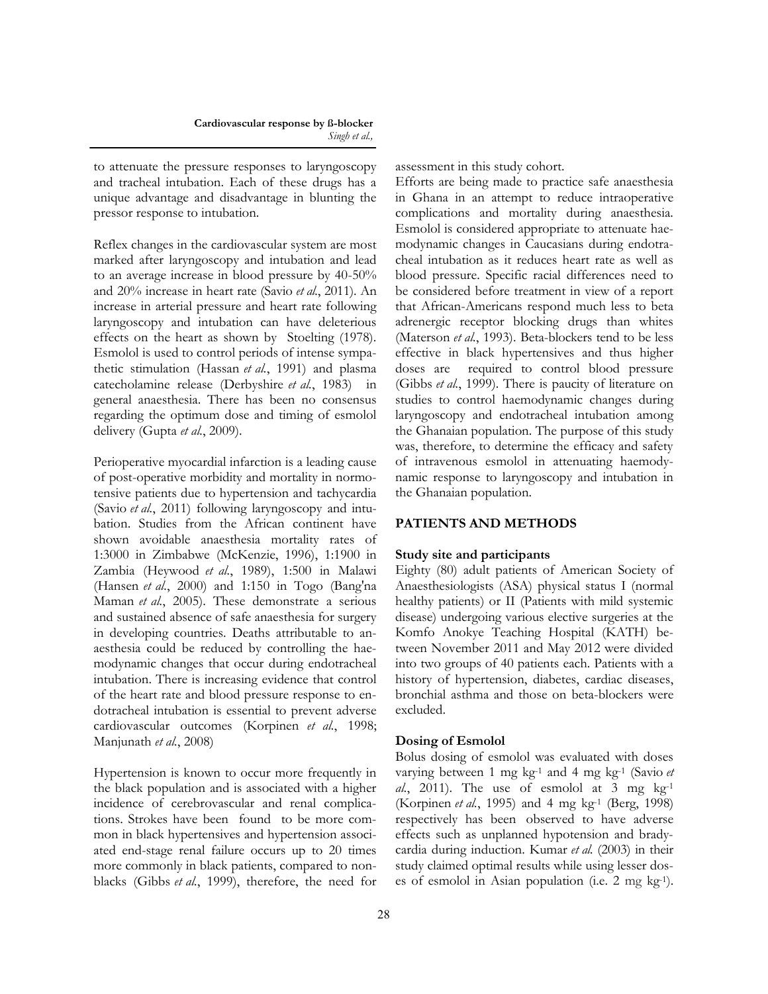to attenuate the pressure responses to laryngoscopy and tracheal intubation. Each of these drugs has a unique advantage and disadvantage in blunting the pressor response to intubation.

Reflex changes in the cardiovascular system are most marked after laryngoscopy and intubation and lead to an average increase in blood pressure by 40-50% and 20% increase in heart rate (Savio *et al.*[, 2011\)](file:///C:/Users/Dr.%20Amidu/Desktop/galley/DOCTOR1.docx#_ENREF_25#_ENREF_25). An increase in arterial pressure and heart rate following laryngoscopy and intubation can have deleterious effects on the heart as shown by [Stoelting \(1978\).](file:///C:/Users/Dr.%20Amidu/Desktop/galley/DOCTOR1.docx#_ENREF_27#_ENREF_27) Esmolol is used to control periods of intense sympathetic stimulation (Hassan *et al.*[, 1991\)](file:///C:/Users/Dr.%20Amidu/Desktop/galley/DOCTOR1.docx#_ENREF_12#_ENREF_12) and plasma catecholamine release ([Derbyshire](file:///C:/Users/Dr.%20Amidu/Desktop/galley/DOCTOR1.docx#_ENREF_6#_ENREF_6) *et al.*, 1983) in general anaesthesia. There has been no consensus regarding the optimum dose and timing of esmolol delivery (Gupta *et al.*[, 2009\).](file:///C:/Users/Dr.%20Amidu/Desktop/galley/DOCTOR1.docx#_ENREF_10#_ENREF_10)

Perioperative myocardial infarction is a leading cause of post-operative morbidity and mortality in normotensive patients due to hypertension and tachycardia (Savio *et al.*[, 2011\)](file:///C:/Users/Dr.%20Amidu/Desktop/galley/DOCTOR1.docx#_ENREF_25#_ENREF_25) following laryngoscopy and intubation. Studies from the African continent have shown avoidable anaesthesia mortality rates of 1:3000 in Zimbabwe ([McKenzie, 1996\)](file:///C:/Users/Dr.%20Amidu/Desktop/galley/DOCTOR1.docx#_ENREF_22#_ENREF_22), 1:1900 in Zambia [\(Heywood](file:///C:/Users/Dr.%20Amidu/Desktop/galley/DOCTOR1.docx#_ENREF_13#_ENREF_13) *et al.*, 1989), 1:500 in Malawi ([Hansen](file:///C:/Users/Dr.%20Amidu/Desktop/galley/DOCTOR1.docx#_ENREF_11#_ENREF_11) *et al.*, 2000) and 1:150 in Togo ([Bang'na](file:///C:/Users/Dr.%20Amidu/Desktop/galley/DOCTOR1.docx#_ENREF_2#_ENREF_2)  Maman *et al.*[, 2005\).](file:///C:/Users/Dr.%20Amidu/Desktop/galley/DOCTOR1.docx#_ENREF_2#_ENREF_2) These demonstrate a serious and sustained absence of safe anaesthesia for surgery in developing countries. Deaths attributable to anaesthesia could be reduced by controlling the haemodynamic changes that occur during endotracheal intubation. There is increasing evidence that control of the heart rate and blood pressure response to endotracheal intubation is essential to prevent adverse cardiovascular outcomes [\(Korpinen](file:///C:/Users/Dr.%20Amidu/Desktop/galley/DOCTOR1.docx#_ENREF_17#_ENREF_17) *et al.*, 1998; [Manjunath](file:///C:/Users/Dr.%20Amidu/Desktop/galley/DOCTOR1.docx#_ENREF_20#_ENREF_20) *et al.*, 2008)

Hypertension is known to occur more frequently in the black population and is associated with a higher incidence of cerebrovascular and renal complications. Strokes have been found to be more common in black hypertensives and hypertension associated end-stage renal failure occurs up to 20 times more commonly in black patients, compared to nonblacks (Gibbs *et al.*[, 1999\),](file:///C:/Users/Dr.%20Amidu/Desktop/galley/DOCTOR1.docx#_ENREF_9#_ENREF_9) therefore, the need for assessment in this study cohort.

Efforts are being made to practice safe anaesthesia in Ghana in an attempt to reduce intraoperative complications and mortality during anaesthesia. Esmolol is considered appropriate to attenuate haemodynamic changes in Caucasians during endotracheal intubation as it reduces heart rate as well as blood pressure. Specific racial differences need to be considered before treatment in view of a report that African-Americans respond much less to beta adrenergic receptor blocking drugs than whites ([Materson](file:///C:/Users/Dr.%20Amidu/Desktop/galley/DOCTOR1.docx#_ENREF_21#_ENREF_21) *et al.*, 1993). Beta-blockers tend to be less effective in black hypertensives and thus higher doses are required to control blood pressure (Gibbs *et al.*[, 1999\)](file:///C:/Users/Dr.%20Amidu/Desktop/galley/DOCTOR1.docx#_ENREF_9#_ENREF_9). There is paucity of literature on studies to control haemodynamic changes during laryngoscopy and endotracheal intubation among the Ghanaian population. The purpose of this study was, therefore, to determine the efficacy and safety of intravenous esmolol in attenuating haemodynamic response to laryngoscopy and intubation in the Ghanaian population.

## **PATIENTS AND METHODS**

#### **Study site and participants**

Eighty (80) adult patients of American Society of Anaesthesiologists (ASA) physical status I (normal healthy patients) or II (Patients with mild systemic disease) undergoing various elective surgeries at the Komfo Anokye Teaching Hospital (KATH) between November 2011 and May 2012 were divided into two groups of 40 patients each. Patients with a history of hypertension, diabetes, cardiac diseases, bronchial asthma and those on beta-blockers were excluded.

## **Dosing of Esmolol**

Bolus dosing of esmolol was evaluated with doses varying between 1 mg kg-1 and 4 mg kg-1 [\(Savio](file:///C:/Users/Dr.%20Amidu/Desktop/galley/DOCTOR1.docx#_ENREF_25#_ENREF_25) *et al.*[, 2011\)](file:///C:/Users/Dr.%20Amidu/Desktop/galley/DOCTOR1.docx#_ENREF_25#_ENREF_25). The use of esmolol at 3 mg  $kg^{-1}$ ([Korpinen](file:///C:/Users/Dr.%20Amidu/Desktop/galley/DOCTOR1.docx#_ENREF_16#_ENREF_16) *et al.*, 1995) and 4 mg kg<sup>-1</sup> [\(Berg, 1998\)](file:///C:/Users/Dr.%20Amidu/Desktop/galley/DOCTOR1.docx#_ENREF_3#_ENREF_3) respectively has been observed to have adverse effects such as unplanned hypotension and bradycardia during induction. [Kumar](file:///C:/Users/Dr.%20Amidu/Desktop/galley/DOCTOR1.docx#_ENREF_18#_ENREF_18) *et al.* (2003) in their study claimed optimal results while using lesser doses of esmolol in Asian population (i.e. 2 mg kg-1).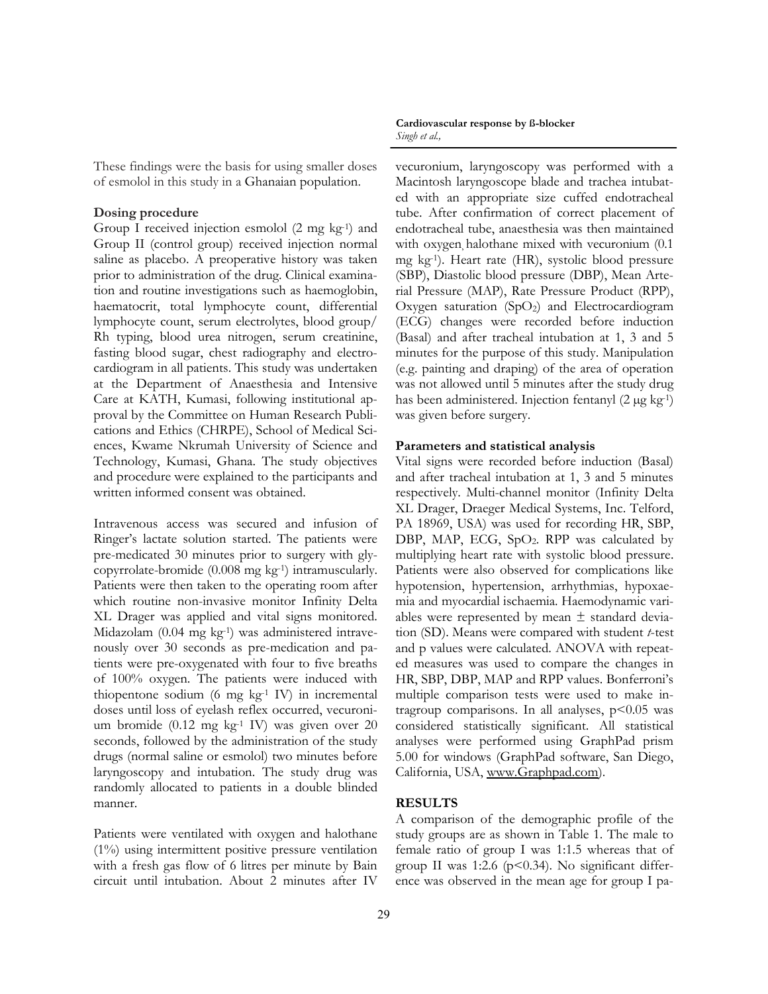These findings were the basis for using smaller doses of esmolol in this study in a Ghanaian population.

#### **Dosing procedure**

Group I received injection esmolol (2 mg kg-1) and Group II (control group) received injection normal saline as placebo. A preoperative history was taken prior to administration of the drug. Clinical examination and routine investigations such as haemoglobin, haematocrit, total lymphocyte count, differential lymphocyte count, serum electrolytes, blood group/ Rh typing, blood urea nitrogen, serum creatinine, fasting blood sugar, chest radiography and electrocardiogram in all patients. This study was undertaken at the Department of Anaesthesia and Intensive Care at KATH, Kumasi, following institutional approval by the Committee on Human Research Publications and Ethics (CHRPE), School of Medical Sciences, Kwame Nkrumah University of Science and Technology, Kumasi, Ghana. The study objectives and procedure were explained to the participants and written informed consent was obtained.

Intravenous access was secured and infusion of Ringer's lactate solution started. The patients were pre-medicated 30 minutes prior to surgery with glycopyrrolate-bromide (0.008 mg kg-1) intramuscularly. Patients were then taken to the operating room after which routine non-invasive monitor Infinity Delta XL Drager was applied and vital signs monitored. Midazolam (0.04 mg kg-1) was administered intravenously over 30 seconds as pre-medication and patients were pre-oxygenated with four to five breaths of 100% oxygen. The patients were induced with thiopentone sodium (6 mg  $kg<sup>-1</sup>$  IV) in incremental doses until loss of eyelash reflex occurred, vecuronium bromide (0.12 mg kg-1 IV) was given over 20 seconds, followed by the administration of the study drugs (normal saline or esmolol) two minutes before laryngoscopy and intubation. The study drug was randomly allocated to patients in a double blinded manner.

Patients were ventilated with oxygen and halothane (1%) using intermittent positive pressure ventilation with a fresh gas flow of 6 litres per minute by Bain circuit until intubation. About 2 minutes after IV

**Cardiovascular response by ß-blocker**  *Singh et al.,*

vecuronium, laryngoscopy was performed with a Macintosh laryngoscope blade and trachea intubated with an appropriate size cuffed endotracheal tube. After confirmation of correct placement of endotracheal tube, anaesthesia was then maintained with oxygen halothane mixed with vecuronium  $(0.1)$ mg kg-1). Heart rate (HR), systolic blood pressure (SBP), Diastolic blood pressure (DBP), Mean Arterial Pressure (MAP), Rate Pressure Product (RPP), Oxygen saturation  $(SpO<sub>2</sub>)$  and Electrocardiogram (ECG) changes were recorded before induction (Basal) and after tracheal intubation at 1, 3 and 5 minutes for the purpose of this study. Manipulation (e.g. painting and draping) of the area of operation was not allowed until 5 minutes after the study drug has been administered. Injection fentanyl (2 µg kg<sup>-1</sup>) was given before surgery.

#### **Parameters and statistical analysis**

Vital signs were recorded before induction (Basal) and after tracheal intubation at 1, 3 and 5 minutes respectively. Multi-channel monitor (Infinity Delta XL Drager, Draeger Medical Systems, Inc. Telford, PA 18969, USA) was used for recording HR, SBP, DBP, MAP, ECG, SpO2. RPP was calculated by multiplying heart rate with systolic blood pressure. Patients were also observed for complications like hypotension, hypertension, arrhythmias, hypoxaemia and myocardial ischaemia. Haemodynamic variables were represented by mean  $\pm$  standard deviation (SD). Means were compared with student *t*-test and p values were calculated. ANOVA with repeated measures was used to compare the changes in HR, SBP, DBP, MAP and RPP values. Bonferroni"s multiple comparison tests were used to make intragroup comparisons. In all analyses,  $p<0.05$  was considered statistically significant. All statistical analyses were performed using GraphPad prism 5.00 for windows (GraphPad software, San Diego, California, USA, www.Graphpad.com).

#### **RESULTS**

A comparison of the demographic profile of the study groups are as shown in Table 1. The male to female ratio of group I was 1:1.5 whereas that of group II was 1:2.6 ( $p$ <0.34). No significant difference was observed in the mean age for group I pa-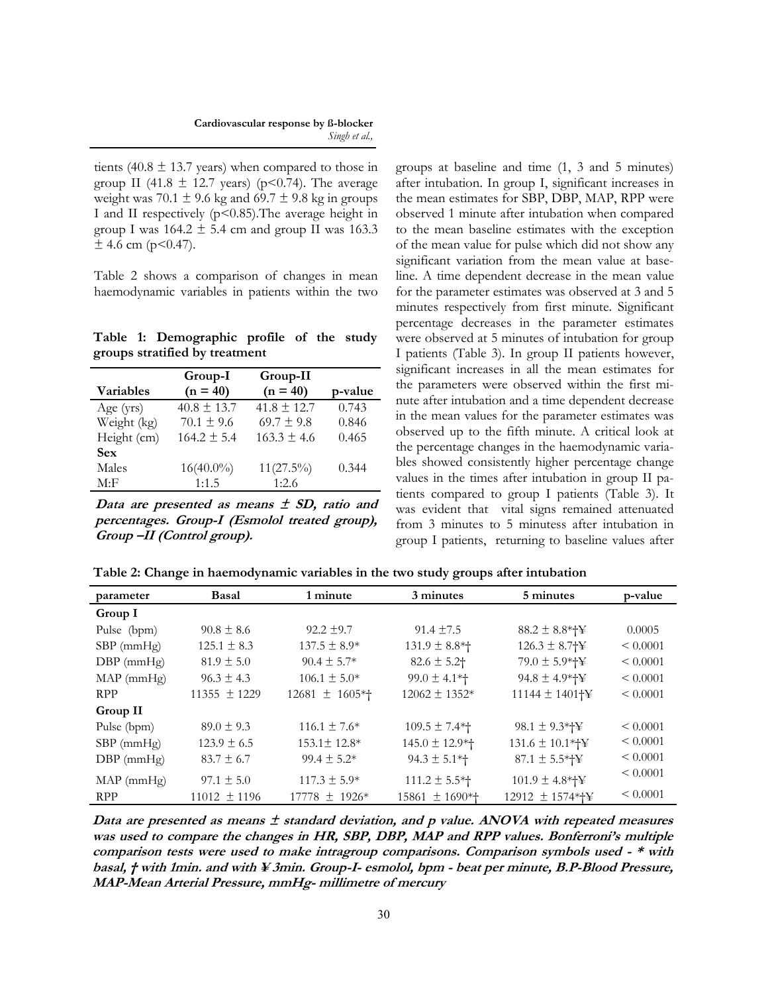tients (40.8  $\pm$  13.7 years) when compared to those in group II (41.8  $\pm$  12.7 years) (p<0.74). The average weight was  $70.1 \pm 9.6$  kg and  $69.7 \pm 9.8$  kg in groups I and II respectively (p<0.85).The average height in group I was  $164.2 \pm 5.4$  cm and group II was 163.3  $\pm$  4.6 cm (p<0.47).

Table 2 shows a comparison of changes in mean haemodynamic variables in patients within the two

**Table 1: Demographic profile of the study groups stratified by treatment**

|                  | Group-I         | Group-II        |         |
|------------------|-----------------|-----------------|---------|
| <b>Variables</b> | $(n = 40)$      | $(n = 40)$      | p-value |
| Age $(yrs)$      | $40.8 \pm 13.7$ | $41.8 \pm 12.7$ | 0.743   |
| Weight (kg)      | $70.1 \pm 9.6$  | $69.7 \pm 9.8$  | 0.846   |
| Height (cm)      | $164.2 \pm 5.4$ | $163.3 \pm 4.6$ | 0.465   |
| <b>Sex</b>       |                 |                 |         |
| Males            | $16(40.0\%)$    | $11(27.5\%)$    | 0.344   |
| M: F             | 1:1.5           | 1:2.6           |         |

**Data are presented as means ± SD, ratio and percentages. Group-I (Esmolol treated group), Group –II (Control group).**

groups at baseline and time (1, 3 and 5 minutes) after intubation. In group I, significant increases in the mean estimates for SBP, DBP, MAP, RPP were observed 1 minute after intubation when compared to the mean baseline estimates with the exception of the mean value for pulse which did not show any significant variation from the mean value at baseline. A time dependent decrease in the mean value for the parameter estimates was observed at 3 and 5 minutes respectively from first minute. Significant percentage decreases in the parameter estimates were observed at 5 minutes of intubation for group I patients (Table 3). In group II patients however, significant increases in all the mean estimates for the parameters were observed within the first minute after intubation and a time dependent decrease in the mean values for the parameter estimates was observed up to the fifth minute. A critical look at the percentage changes in the haemodynamic variables showed consistently higher percentage change values in the times after intubation in group II patients compared to group I patients (Table 3). It was evident that vital signs remained attenuated from 3 minutes to 5 minutess after intubation in group I patients, returning to baseline values after

**Table 2: Change in haemodynamic variables in the two study groups after intubation**

| parameter        | <b>Basal</b>     | 1 minute           | 3 minutes           | 5 minutes           | p-value       |
|------------------|------------------|--------------------|---------------------|---------------------|---------------|
| Group I          |                  |                    |                     |                     |               |
| Pulse (bpm)      | $90.8 \pm 8.6$   | $92.2 \pm 9.7$     | $91.4 \pm 7.5$      | $88.2 \pm 8.8*$ + ¥ | 0.0005        |
| $SBP$ (mm $Hg$ ) | $125.1 \pm 8.3$  | $137.5 \pm 8.9*$   | $131.9 \pm 8.8$ *†  | $126.3 \pm 8.7$ †¥  | $\leq 0.0001$ |
| $DBP$ (mmHg)     | $81.9 \pm 5.0$   | $90.4 \pm 5.7*$    | $82.6 \pm 5.2$      | $79.0 \pm 5.9*$ +¥  | $\leq 0.0001$ |
| $MAP$ (mmHg)     | $96.3 \pm 4.3$   | $106.1 \pm 5.0*$   | $99.0 \pm 4.1*$     | $94.8 \pm 4.9*$     | $\leq 0.0001$ |
| <b>RPP</b>       | $11355 \pm 1229$ | $12681 \pm 1605*$  | $12062 \pm 1352*$   | 11144 ± 1401†¥      | $\leq 0.0001$ |
| Group II         |                  |                    |                     |                     |               |
| Pulse (bpm)      | $89.0 \pm 9.3$   | $116.1 \pm 7.6*$   | $109.5 \pm 7.4*$    | $98.1 \pm 9.3*$     | $\leq 0.0001$ |
| $SBP$ (mm $Hg$ ) | $123.9 \pm 6.5$  | $153.1 \pm 12.8^*$ | $145.0 \pm 12.9*$   | $131.6 \pm 10.1*$   | $\leq 0.0001$ |
| $DBP$ (mmHg)     | $83.7 \pm 6.7$   | $99.4 \pm 5.2*$    | $94.3 \pm 5.1*$     | $87.1 \pm 5.5*+Y$   | $\leq 0.0001$ |
| $MAP$ (mmHg)     | $97.1 \pm 5.0$   | $117.3 \pm 5.9*$   | $111.2 \pm 5.5*$    | $101.9 \pm 4.8*$    | $\leq 0.0001$ |
| <b>RPP</b>       | $11012 \pm 1196$ | $17778 \pm 1926$ * | $15861 \pm 1690$ *+ | 12912 ± 1574*†¥     | < 0.0001      |

Data are presented as means  $\pm$  standard deviation, and p value. ANOVA with repeated measures **was used to compare the changes in HR, SBP, DBP, MAP and RPP values. Bonferroni's multiple comparison tests were used to make intragroup comparisons. Comparison symbols used - \* with basal, † with 1min. and with ≦ 3min. Group-I- esmolol, bpm - beat per minute, B.P-Blood Pressure, MAP-Mean Arterial Pressure, mmHg- millimetre of mercury**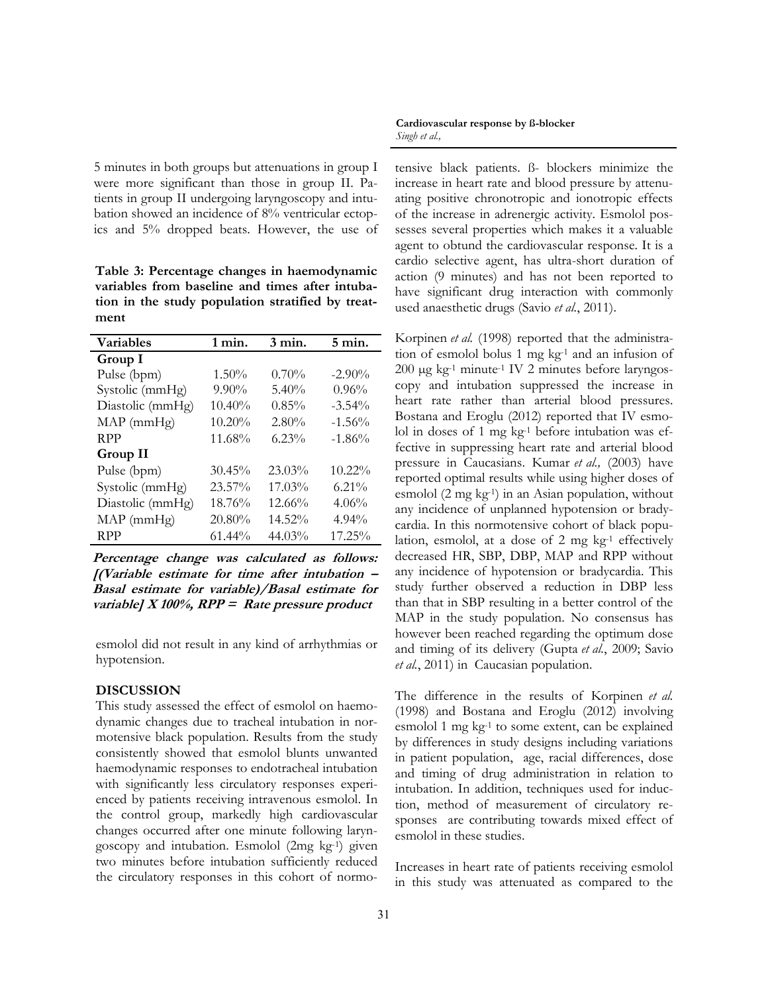5 minutes in both groups but attenuations in group I were more significant than those in group II. Patients in group II undergoing laryngoscopy and intubation showed an incidence of 8% ventricular ectopics and 5% dropped beats. However, the use of

**Table 3: Percentage changes in haemodynamic variables from baseline and times after intubation in the study population stratified by treatment** 

| <b>Variables</b> | $1$ min.  | $3 \text{ min.}$ | $5 \text{ min.}$ |
|------------------|-----------|------------------|------------------|
| Group I          |           |                  |                  |
| Pulse (bpm)      | $1.50\%$  | $0.70\%$         | $-2.90\%$        |
| Systolic (mmHg)  | $9.90\%$  | $5.40\%$         | 0.96%            |
| Diastolic (mmHg) | 10.40%    | 0.85%            | $-3.54\%$        |
| $MAP$ (mm $Hg$ ) | $10.20\%$ | 2.80%            | $-1.56%$         |
| <b>RPP</b>       | 11.68%    | $6.23\%$         | $-1.86%$         |
| Group II         |           |                  |                  |
| Pulse (bpm)      | $30.45\%$ | $23.03\%$        | $10.22\%$        |
| Systolic (mmHg)  | $23.57\%$ | $17.03\%$        | $6.21\%$         |
| Diastolic (mmHg) | 18.76%    | $12.66\%$        | 4.06%            |
| $MAP$ (mm $Hg$ ) | 20.80%    | $14.52\%$        | $4.94\%$         |
| <b>RPP</b>       | $61.44\%$ | $44.03\%$        | 17.25%           |

**Percentage change was calculated as follows: [(Variable estimate for time after intubation – Basal estimate for variable)/Basal estimate for variable] X 100%, RPP = Rate pressure product**

esmolol did not result in any kind of arrhythmias or hypotension.

## **DISCUSSION**

This study assessed the effect of esmolol on haemodynamic changes due to tracheal intubation in normotensive black population. Results from the study consistently showed that esmolol blunts unwanted haemodynamic responses to endotracheal intubation with significantly less circulatory responses experienced by patients receiving intravenous esmolol. In the control group, markedly high cardiovascular changes occurred after one minute following laryngoscopy and intubation. Esmolol (2mg kg-1) given two minutes before intubation sufficiently reduced the circulatory responses in this cohort of normo-

**Cardiovascular response by ß-blocker**  *Singh et al.,*

tensive black patients. ß- blockers minimize the increase in heart rate and blood pressure by attenuating positive chronotropic and ionotropic effects of the increase in adrenergic activity. Esmolol possesses several properties which makes it a valuable agent to obtund the cardiovascular response. It is a cardio selective agent, has ultra-short duration of action (9 minutes) and has not been reported to have significant drug interaction with commonly used anaesthetic drugs (Savio *et al.*[, 2011\)](file:///C:/Users/Dr.%20Amidu/Desktop/galley/DOCTOR1.docx#_ENREF_25#_ENREF_25).

[Korpinen](file:///C:/Users/Dr.%20Amidu/Desktop/galley/DOCTOR1.docx#_ENREF_17#_ENREF_17) *et al.* (1998) reported that the administration of esmolol bolus 1 mg kg-1 and an infusion of  $200 \mu g$  kg<sup>-1</sup> minute<sup>-1</sup> IV 2 minutes before laryngoscopy and intubation suppressed the increase in heart rate rather than arterial blood pressures. [Bostana and Eroglu \(2012\)](file:///C:/Users/Dr.%20Amidu/Desktop/galley/DOCTOR1.docx#_ENREF_4#_ENREF_4) reported that IV esmolol in doses of 1 mg  $kg<sup>-1</sup>$  before intubation was effective in suppressing heart rate and arterial blood pressure in Caucasians. [Kumar](file:///C:/Users/Dr.%20Amidu/Desktop/galley/DOCTOR1.docx#_ENREF_18#_ENREF_18) *et al.,* (2003) have reported optimal results while using higher doses of esmolol (2 mg kg-1) in an Asian population, without any incidence of unplanned hypotension or bradycardia. In this normotensive cohort of black population, esmolol, at a dose of  $2 \text{ mg} \text{ kg}^{-1}$  effectively decreased HR, SBP, DBP, MAP and RPP without any incidence of hypotension or bradycardia. This study further observed a reduction in DBP less than that in SBP resulting in a better control of the MAP in the study population. No consensus has however been reached regarding the optimum dose and timing of its delivery (Gupta *et al.*[, 2009;](file:///C:/Users/Dr.%20Amidu/Desktop/galley/DOCTOR1.docx#_ENREF_10#_ENREF_10) [Savio](file:///C:/Users/Dr.%20Amidu/Desktop/galley/DOCTOR1.docx#_ENREF_25#_ENREF_25) *et al.*[, 2011\)](file:///C:/Users/Dr.%20Amidu/Desktop/galley/DOCTOR1.docx#_ENREF_25#_ENREF_25) in Caucasian population.

The difference in the results of [Korpinen](file:///C:/Users/Dr.%20Amidu/Desktop/galley/DOCTOR1.docx#_ENREF_17#_ENREF_17) *et al.* [\(1998\)](file:///C:/Users/Dr.%20Amidu/Desktop/galley/DOCTOR1.docx#_ENREF_17#_ENREF_17) and [Bostana and Eroglu \(2012\)](file:///C:/Users/Dr.%20Amidu/Desktop/galley/DOCTOR1.docx#_ENREF_4#_ENREF_4) involving esmolol 1 mg kg-1 to some extent, can be explained by differences in study designs including variations in patient population, age, racial differences, dose and timing of drug administration in relation to intubation. In addition, techniques used for induction, method of measurement of circulatory responses are contributing towards mixed effect of esmolol in these studies.

Increases in heart rate of patients receiving esmolol in this study was attenuated as compared to the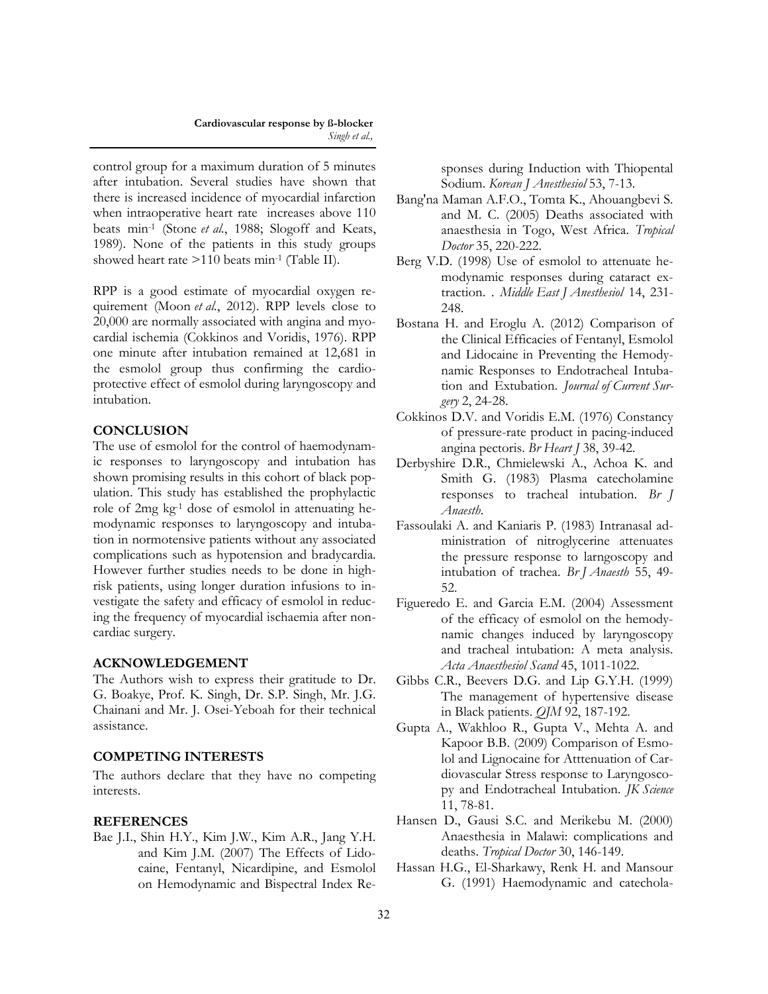control group for a maximum duration of 5 minutes after intubation. Several studies have shown that there is increased incidence of myocardial infarction when intraoperative heart rate increases above 110 beats min-1 (Stone *et al.*[, 1988;](file:///C:/Users/Dr.%20Amidu/Desktop/galley/DOCTOR1.docx#_ENREF_28#_ENREF_28) [Slogoff and Keats,](file:///C:/Users/Dr.%20Amidu/Desktop/galley/DOCTOR1.docx#_ENREF_26#_ENREF_26)  [1989\)](file:///C:/Users/Dr.%20Amidu/Desktop/galley/DOCTOR1.docx#_ENREF_26#_ENREF_26). None of the patients in this study groups showed heart rate >110 beats min-1 (Table II).

RPP is a good estimate of myocardial oxygen requirement (Moon *et al.*[, 2012\)](file:///C:/Users/Dr.%20Amidu/Desktop/galley/DOCTOR1.docx#_ENREF_24#_ENREF_24). RPP levels close to 20,000 are normally associated with angina and myocardial ischemia [\(Cokkinos and Voridis, 1976\).](file:///C:/Users/Dr.%20Amidu/Desktop/galley/DOCTOR1.docx#_ENREF_5#_ENREF_5) RPP one minute after intubation remained at 12,681 in the esmolol group thus confirming the cardioprotective effect of esmolol during laryngoscopy and intubation.

## **CONCLUSION**

The use of esmolol for the control of haemodynamic responses to laryngoscopy and intubation has shown promising results in this cohort of black population. This study has established the prophylactic role of 2mg kg-1 dose of esmolol in attenuating hemodynamic responses to laryngoscopy and intubation in normotensive patients without any associated complications such as hypotension and bradycardia. However further studies needs to be done in highrisk patients, using longer duration infusions to investigate the safety and efficacy of esmolol in reducing the frequency of myocardial ischaemia after noncardiac surgery.

## **ACKNOWLEDGEMENT**

The Authors wish to express their gratitude to Dr. G. Boakye, Prof. K. Singh, Dr. S.P. Singh, Mr. J.G. Chainani and Mr. J. Osei-Yeboah for their technical assistance.

## **COMPETING INTERESTS**

The authors declare that they have no competing interests.

## **REFERENCES**

Bae J.I., Shin H.Y., Kim J.W., Kim A.R., Jang Y.H. and Kim J.M. (2007) The Effects of Lidocaine, Fentanyl, Nicardipine, and Esmolol on Hemodynamic and Bispectral Index Responses during Induction with Thiopental Sodium. *Korean J Anesthesiol* 53, 7-13.

- Bang'na Maman A.F.O., Tomta K., Ahouangbevi S. and M. C. (2005) Deaths associated with anaesthesia in Togo, West Africa. *Tropical Doctor* 35, 220-222.
- Berg V.D. (1998) Use of esmolol to attenuate hemodynamic responses during cataract extraction. . *Middle East J Anesthesiol* 14, 231- 248.
- Bostana H. and Eroglu A. (2012) Comparison of the Clinical Efficacies of Fentanyl, Esmolol and Lidocaine in Preventing the Hemodynamic Responses to Endotracheal Intubation and Extubation. *Journal of Current Surgery* 2, 24-28.
- Cokkinos D.V. and Voridis E.M. (1976) Constancy of pressure-rate product in pacing-induced angina pectoris. *Br Heart J* 38, 39-42.
- Derbyshire D.R., Chmielewski A., Achoa K. and Smith G. (1983) Plasma catecholamine responses to tracheal intubation. *Br J Anaesth*.
- Fassoulaki A. and Kaniaris P. (1983) Intranasal administration of nitroglycerine attenuates the pressure response to larngoscopy and intubation of trachea. *Br J Anaesth* 55, 49- 52.
- Figueredo E. and Garcia E.M. (2004) Assessment of the efficacy of esmolol on the hemodynamic changes induced by laryngoscopy and tracheal intubation: A meta analysis. *Acta Anaesthesiol Scand* 45, 1011-1022.
- Gibbs C.R., Beevers D.G. and Lip G.Y.H. (1999) The management of hypertensive disease in Black patients. *QJM* 92, 187-192.
- Gupta A., Wakhloo R., Gupta V., Mehta A. and Kapoor B.B. (2009) Comparison of Esmolol and Lignocaine for Atttenuation of Cardiovascular Stress response to Laryngoscopy and Endotracheal Intubation. *JK Science* 11, 78-81.
- Hansen D., Gausi S.C. and Merikebu M. (2000) Anaesthesia in Malawi: complications and deaths. *Tropical Doctor* 30, 146-149.
- Hassan H.G., El-Sharkawy, Renk H. and Mansour G. (1991) Haemodynamic and catechola-